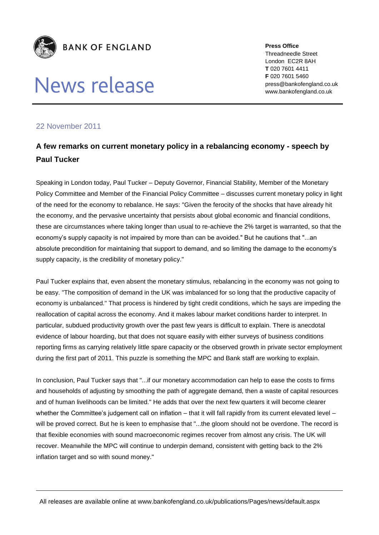

## News release

**Press Office** Threadneedle Street London EC2R 8AH **T** 020 7601 4411 **F** 020 7601 5460 press@bankofengland.co.uk www.bankofengland.co.uk

## 22 November 2011

## **A few remarks on current monetary policy in a rebalancing economy - speech by Paul Tucker**

Speaking in London today, Paul Tucker – Deputy Governor, Financial Stability, Member of the Monetary Policy Committee and Member of the Financial Policy Committee – discusses current monetary policy in light of the need for the economy to rebalance. He says: "Given the ferocity of the shocks that have already hit the economy, and the pervasive uncertainty that persists about global economic and financial conditions, these are circumstances where taking longer than usual to re-achieve the 2% target is warranted, so that the economy's supply capacity is not impaired by more than can be avoided." But he cautions that "...an absolute precondition for maintaining that support to demand, and so limiting the damage to the economy's supply capacity, is the credibility of monetary policy."

Paul Tucker explains that, even absent the monetary stimulus, rebalancing in the economy was not going to be easy. "The composition of demand in the UK was imbalanced for so long that the productive capacity of economy is unbalanced." That process is hindered by tight credit conditions, which he says are impeding the reallocation of capital across the economy. And it makes labour market conditions harder to interpret. In particular, subdued productivity growth over the past few years is difficult to explain. There is anecdotal evidence of labour hoarding, but that does not square easily with either surveys of business conditions reporting firms as carrying relatively little spare capacity or the observed growth in private sector employment during the first part of 2011. This puzzle is something the MPC and Bank staff are working to explain.

In conclusion, Paul Tucker says that "...if our monetary accommodation can help to ease the costs to firms and households of adjusting by smoothing the path of aggregate demand, then a waste of capital resources and of human livelihoods can be limited." He adds that over the next few quarters it will become clearer whether the Committee's judgement call on inflation – that it will fall rapidly from its current elevated level – will be proved correct. But he is keen to emphasise that "...the gloom should not be overdone. The record is that flexible economies with sound macroeconomic regimes recover from almost any crisis. The UK will recover. Meanwhile the MPC will continue to underpin demand, consistent with getting back to the 2% inflation target and so with sound money."